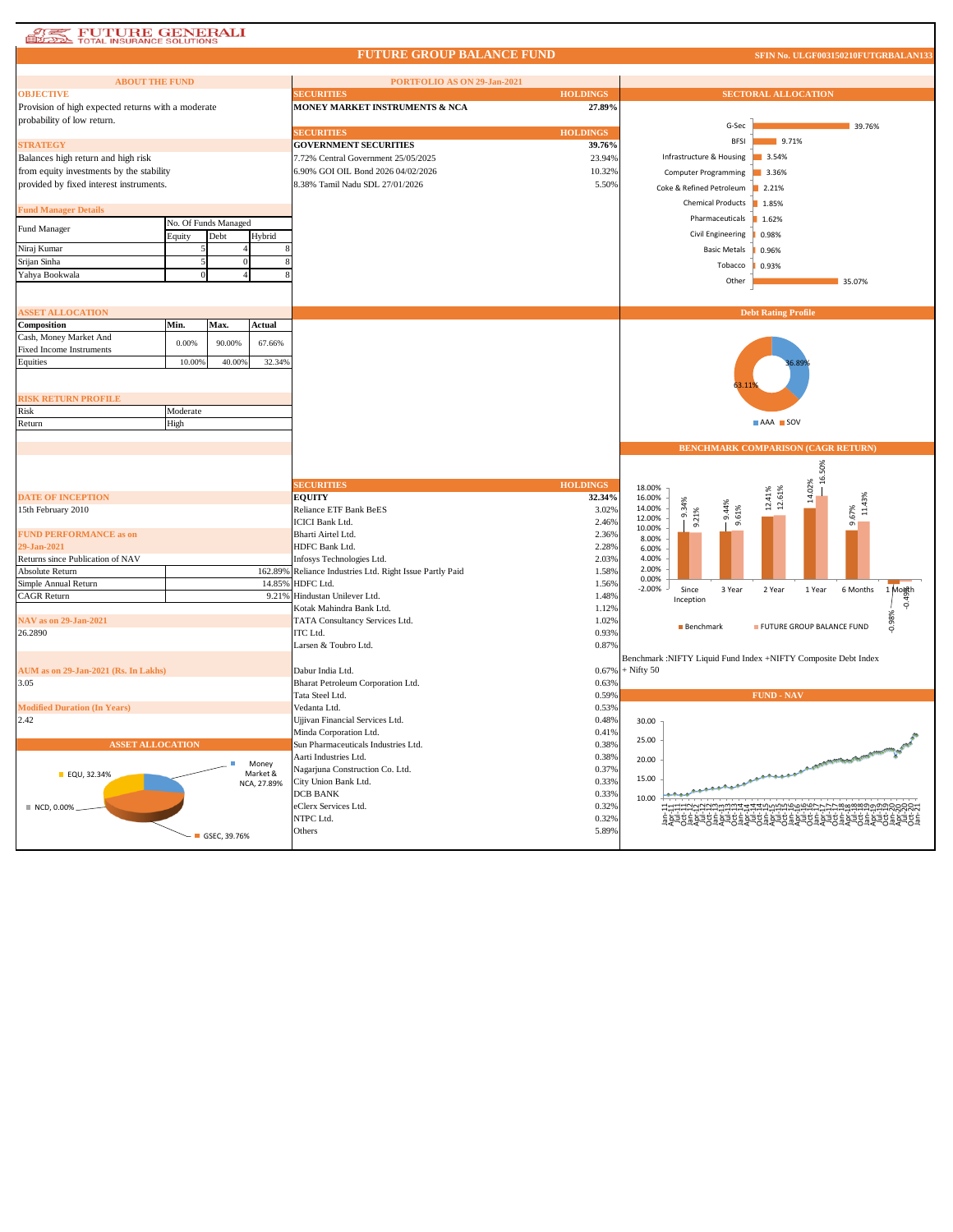## **AT FUTURE GENERALI**

Г

## **FUTURE GROUP BALANCE FUND**

**SFIN No. ULGF003150210FUTGRBALAN133**

| <b>ABOUT THE FUND</b>                              |               |                      |                   | PORTFOLIO AS ON 29-Jan-2021                          |                 |                                          |                                                                |
|----------------------------------------------------|---------------|----------------------|-------------------|------------------------------------------------------|-----------------|------------------------------------------|----------------------------------------------------------------|
| <b>OBJECTIVE</b>                                   |               |                      |                   | <b>ECURITIES</b>                                     | <b>HOLDINGS</b> |                                          | <b>SECTORAL ALLOCATION</b>                                     |
| Provision of high expected returns with a moderate |               |                      |                   | MONEY MARKET INSTRUMENTS & NCA                       | 27.89%          |                                          |                                                                |
| probability of low return.                         |               |                      |                   |                                                      |                 |                                          |                                                                |
|                                                    |               |                      |                   | <b>SECURITIES</b>                                    | <b>HOLDINGS</b> | G-Sec                                    | 39.76%                                                         |
| <b>STRATEGY</b>                                    |               |                      |                   | <b>GOVERNMENT SECURITIES</b>                         | 39.76%          | <b>BESI</b>                              | 9.71%                                                          |
| Balances high return and high risk                 |               |                      |                   | 7.72% Central Government 25/05/2025                  | 23.94%          | Infrastructure & Housing                 | 3.54%                                                          |
| from equity investments by the stability           |               |                      |                   | 6.90% GOI OIL Bond 2026 04/02/2026                   | 10.32%          | Computer Programming                     | 3.36%                                                          |
| provided by fixed interest instruments.            |               |                      |                   | 8.38% Tamil Nadu SDL 27/01/2026                      | 5.50%           | Coke & Refined Petroleum                 | 2.21%                                                          |
|                                                    |               |                      |                   |                                                      |                 |                                          |                                                                |
| <b>Fund Manager Details</b>                        |               |                      |                   |                                                      |                 | <b>Chemical Products</b>                 | 1.85%                                                          |
| Fund Manager                                       |               | No. Of Funds Managed |                   |                                                      |                 | Pharmaceuticals                          | 1.62%                                                          |
|                                                    | <b>Equity</b> | Debt                 | Hybrid            |                                                      |                 | Civil Engineering                        | 0.98%                                                          |
| Niraj Kumar                                        |               |                      |                   |                                                      |                 | <b>Basic Metals</b>                      | 0.96%                                                          |
| Srijan Sinha                                       |               |                      |                   |                                                      |                 | Tobacco                                  | 0.93%                                                          |
| Yahya Bookwala                                     |               |                      |                   |                                                      |                 | Other                                    | 35.07%                                                         |
|                                                    |               |                      |                   |                                                      |                 |                                          |                                                                |
|                                                    |               |                      |                   |                                                      |                 |                                          |                                                                |
| <b>ASSET ALLOCATION</b>                            |               |                      |                   |                                                      |                 |                                          | <b>Debt Rating Profile</b>                                     |
| Composition                                        | Min.          | Max.                 | Actual            |                                                      |                 |                                          |                                                                |
| Cash, Money Market And                             | 0.00%         | 90.00%               | 67.66%            |                                                      |                 |                                          |                                                                |
| Fixed Income Instruments<br>Equities               | 10.009        | 40.00%               | 32.34%            |                                                      |                 |                                          |                                                                |
|                                                    |               |                      |                   |                                                      |                 |                                          |                                                                |
|                                                    |               |                      |                   |                                                      |                 |                                          |                                                                |
| <b>RISK RETURN PROFILE</b>                         |               |                      |                   |                                                      |                 |                                          |                                                                |
| Risk                                               | Moderate      |                      |                   |                                                      |                 |                                          |                                                                |
| Return                                             | High          |                      |                   |                                                      |                 |                                          | AAA SOV                                                        |
|                                                    |               |                      |                   |                                                      |                 |                                          |                                                                |
|                                                    |               |                      |                   |                                                      |                 |                                          | <b>BENCHMARK COMPARISON (CAGR RETURN)</b>                      |
|                                                    |               |                      |                   |                                                      |                 |                                          |                                                                |
|                                                    |               |                      |                   |                                                      |                 |                                          | 16.50%                                                         |
|                                                    |               |                      |                   | <b>SECURITIES</b>                                    | <b>HOLDINGS</b> | 18.00%                                   | 14.02%                                                         |
| <b>DATE OF INCEPTION</b>                           |               |                      |                   | <b>EQUITY</b>                                        | 32.34%          | 16.00%<br>9.34%<br>14.00%                | $12.41\%$<br>$12.61\%$<br>11.43%                               |
| 15th February 2010                                 |               |                      |                   | Reliance ETF Bank BeES<br><b>ICICI Bank Ltd.</b>     | 3.02%           | 9.44%<br>9.61%<br>9.21%<br>12.00%        | 9.67%                                                          |
| <b>FUND PERFORMANCE as on</b>                      |               |                      |                   | Bharti Airtel Ltd.                                   | 2.46%<br>2.36%  | 10.00%                                   |                                                                |
| 29-Jan-2021                                        |               |                      |                   | HDFC Bank Ltd.                                       | 2.28%           | 8.00%<br>6.00%                           |                                                                |
| Returns since Publication of NAV                   |               |                      |                   | Infosys Technologies Ltd.                            | 2.039           | 4.00%                                    |                                                                |
| Absolute Return                                    |               |                      | 162.89%           | Reliance Industries Ltd. Right Issue Partly Paid     | 1.58%           | 2.00%                                    |                                                                |
| Simple Annual Return                               |               |                      | 14.85%            | HDFC Ltd.                                            | 1.56%           | 0.00%                                    |                                                                |
| <b>CAGR Return</b>                                 |               |                      | 9.21%             | Hindustan Unilever Ltd.                              | 1.48%           | $-2.00%$<br>Since<br>3 Year<br>Inception | 6 Months<br>$\frac{1}{\sqrt{\frac{1}{n}}}$<br>2 Year<br>1 Year |
|                                                    |               |                      |                   | Kotak Mahindra Bank Ltd.                             | 1.12%           |                                          |                                                                |
| NAV as on 29-Jan-2021                              |               |                      |                   | TATA Consultancy Services Ltd.                       | 1.02%           | Benchmark                                | 0.98%<br>FUTURE GROUP BALANCE FUND                             |
| 26.2890                                            |               |                      |                   | ITC Ltd.                                             | 0.93%           |                                          |                                                                |
|                                                    |               |                      |                   | Larsen & Toubro Ltd.                                 | 0.87%           |                                          |                                                                |
|                                                    |               |                      |                   |                                                      |                 |                                          | Benchmark :NIFTY Liquid Fund Index +NIFTY Composite Debt Index |
| AUM as on 29-Jan-2021 (Rs. In Lakhs)               |               |                      |                   | Dabur India Ltd.                                     | 0.67%           | $+$ Nifty 50                             |                                                                |
| 3.05                                               |               |                      |                   | Bharat Petroleum Corporation Ltd.<br>Tata Steel Ltd. | 0.63%<br>0.59%  |                                          | <b>FUND - NAV</b>                                              |
| <b>Modified Duration (In Years)</b>                |               |                      |                   | Vedanta Ltd.                                         | 0.53%           |                                          |                                                                |
| 2.42                                               |               |                      |                   | Ujjivan Financial Services Ltd.                      | 0.48%           | 30.00                                    |                                                                |
|                                                    |               |                      |                   | Minda Corporation Ltd.                               | 0.41%           |                                          |                                                                |
| <b>ASSET ALLOCATION</b>                            |               |                      |                   | Sun Pharmaceuticals Industries Ltd.                  | 0.38%           | 25.00                                    |                                                                |
|                                                    |               |                      |                   | Aarti Industries Ltd.                                | 0.38%           | 20.00                                    |                                                                |
| ■ EQU, 32.34%                                      |               |                      | Money<br>Market & | Nagarjuna Construction Co. Ltd.                      | 0.37%           |                                          |                                                                |
|                                                    |               |                      | NCA, 27.89%       | City Union Bank Ltd.                                 | 0.33%           | 15.00                                    |                                                                |
|                                                    |               |                      |                   | <b>DCB BANK</b>                                      | 0.33%           | 10.00                                    |                                                                |
| NCD, 0.00%                                         |               |                      |                   | eClerx Services Ltd.                                 | 0.32%           |                                          | HAAAAAAAAAAAAAHHHHHHHHHHHHAAAAAAAAA                            |
|                                                    |               |                      |                   | NTPC Ltd.                                            | 0.32%           |                                          | ĔŔŔŔĔŔŔŔĔŔŔĔŔŔĔŔŔŔŔŔĔŔŔŔĔŔŔŔĔŔŔŔĔŔŔ                            |
|                                                    |               | GSEC, 39.76%         |                   | Others                                               | 5.89%           |                                          |                                                                |
|                                                    |               |                      |                   |                                                      |                 |                                          |                                                                |
|                                                    |               |                      |                   |                                                      |                 |                                          |                                                                |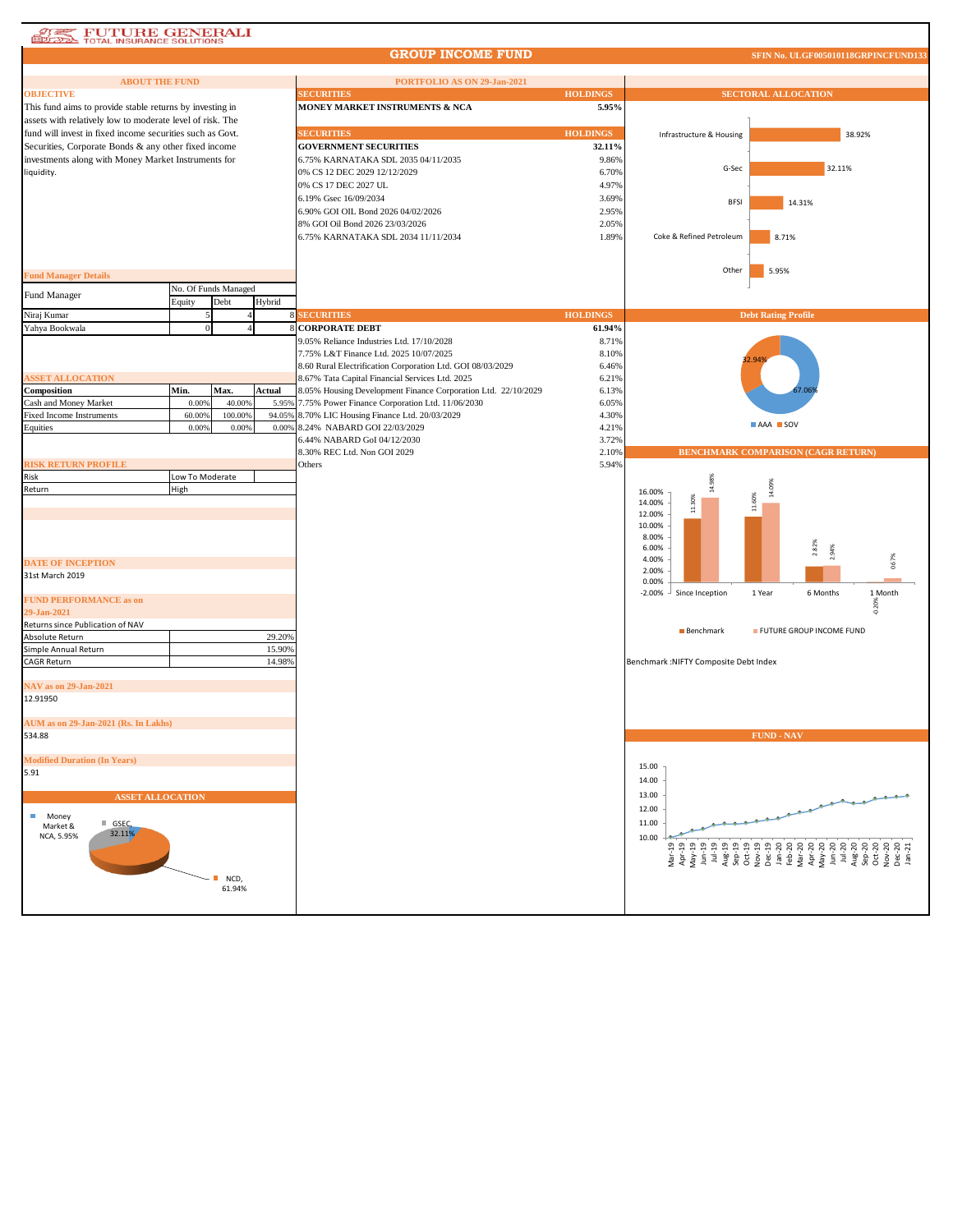## **ATEL FUTURE GENERALI**

## **GROUP INCOME FUND**

**SFIN No. ULGF005010118GRPINCFUND133**

| <b>ABOUT THE FUND</b>                                                                                                 |                 |                      |                 | PORTFOLIO AS ON 29-Jan-2021                                                                                      |                 |                                        |                                                                                                                                                                                                                                                                                                                     |  |
|-----------------------------------------------------------------------------------------------------------------------|-----------------|----------------------|-----------------|------------------------------------------------------------------------------------------------------------------|-----------------|----------------------------------------|---------------------------------------------------------------------------------------------------------------------------------------------------------------------------------------------------------------------------------------------------------------------------------------------------------------------|--|
| <b>OBJECTIVE</b>                                                                                                      |                 |                      |                 | <b>SECURITIES</b>                                                                                                | <b>HOLDINGS</b> | <b>SECTORAL ALLOCATION</b>             |                                                                                                                                                                                                                                                                                                                     |  |
| This fund aims to provide stable returns by investing in<br>assets with relatively low to moderate level of risk. The |                 |                      |                 | MONEY MARKET INSTRUMENTS & NCA                                                                                   | 5.95%           |                                        |                                                                                                                                                                                                                                                                                                                     |  |
| fund will invest in fixed income securities such as Govt.                                                             |                 |                      |                 | <b>SECURITIES</b>                                                                                                | <b>HOLDINGS</b> | Infrastructure & Housing               | 38.92%                                                                                                                                                                                                                                                                                                              |  |
| Securities, Corporate Bonds & any other fixed income                                                                  |                 |                      |                 | <b>GOVERNMENT SECURITIES</b>                                                                                     | 32.11%          |                                        |                                                                                                                                                                                                                                                                                                                     |  |
| investments along with Money Market Instruments for                                                                   |                 |                      |                 | 6.75% KARNATAKA SDL 2035 04/11/2035                                                                              | 9.86%           |                                        |                                                                                                                                                                                                                                                                                                                     |  |
| liquidity.                                                                                                            |                 |                      |                 | 0% CS 12 DEC 2029 12/12/2029                                                                                     | 6.70%           | G-Sec                                  | 32.11%                                                                                                                                                                                                                                                                                                              |  |
|                                                                                                                       |                 |                      |                 | 0% CS 17 DEC 2027 UL                                                                                             | 4.97%           |                                        |                                                                                                                                                                                                                                                                                                                     |  |
|                                                                                                                       |                 |                      |                 | 6.19% Gsec 16/09/2034                                                                                            | 3.69%           | <b>BFSI</b>                            | 14.31%                                                                                                                                                                                                                                                                                                              |  |
|                                                                                                                       |                 |                      |                 | 6.90% GOI OIL Bond 2026 04/02/2026                                                                               | 2.95%           |                                        |                                                                                                                                                                                                                                                                                                                     |  |
|                                                                                                                       |                 |                      |                 | 8% GOI Oil Bond 2026 23/03/2026                                                                                  | 2.05%           |                                        |                                                                                                                                                                                                                                                                                                                     |  |
|                                                                                                                       |                 |                      |                 | 6.75% KARNATAKA SDL 2034 11/11/2034                                                                              | 1.89%           | Coke & Refined Petroleum               | 8.71%                                                                                                                                                                                                                                                                                                               |  |
|                                                                                                                       |                 |                      |                 |                                                                                                                  |                 |                                        |                                                                                                                                                                                                                                                                                                                     |  |
| <b>Fund Manager Details</b>                                                                                           |                 |                      |                 |                                                                                                                  |                 | Other                                  | 5.95%                                                                                                                                                                                                                                                                                                               |  |
|                                                                                                                       |                 | No. Of Funds Managed |                 |                                                                                                                  |                 |                                        |                                                                                                                                                                                                                                                                                                                     |  |
| Fund Manager                                                                                                          | Equity          | Debt                 | Hybrid          |                                                                                                                  |                 |                                        |                                                                                                                                                                                                                                                                                                                     |  |
| Niraj Kumar                                                                                                           | 5               |                      |                 | <b>8 SECURITIES</b>                                                                                              | <b>HOLDINGS</b> |                                        | <b>Debt Rating Profile</b>                                                                                                                                                                                                                                                                                          |  |
| Yahya Bookwala                                                                                                        | $\mathbf{0}$    |                      |                 | <b>CORPORATE DEBT</b>                                                                                            | 61.94%          |                                        |                                                                                                                                                                                                                                                                                                                     |  |
|                                                                                                                       |                 |                      |                 | 9.05% Reliance Industries Ltd. 17/10/2028                                                                        | 8.71%           |                                        |                                                                                                                                                                                                                                                                                                                     |  |
|                                                                                                                       |                 |                      |                 | 7.75% L&T Finance Ltd. 2025 10/07/2025                                                                           | 8.10%           |                                        |                                                                                                                                                                                                                                                                                                                     |  |
|                                                                                                                       |                 |                      |                 | 8.60 Rural Electrification Corporation Ltd. GOI 08/03/2029                                                       | 6.46%           |                                        |                                                                                                                                                                                                                                                                                                                     |  |
| <b>ASSET ALLOCATION</b>                                                                                               |                 |                      |                 | 8.67% Tata Capital Financial Services Ltd. 2025                                                                  | 6.21%           |                                        |                                                                                                                                                                                                                                                                                                                     |  |
| Composition<br>Cash and Money Market                                                                                  | Min.<br>0.00%   | Max.<br>40.00%       | Actual<br>5.95% | 8.05% Housing Development Finance Corporation Ltd. 22/10/2029<br>7.75% Power Finance Corporation Ltd. 11/06/2030 | 6.13%<br>6.05%  |                                        |                                                                                                                                                                                                                                                                                                                     |  |
| <b>Fixed Income Instruments</b>                                                                                       | 60.009          | 100.009              | 94.059          | 8.70% LIC Housing Finance Ltd. 20/03/2029                                                                        | 4.30%           |                                        |                                                                                                                                                                                                                                                                                                                     |  |
| Equities                                                                                                              | 0.00%           | 0.00%                |                 | 0.00% 8.24% NABARD GOI 22/03/2029                                                                                | 4.21%           |                                        | AAA SOV                                                                                                                                                                                                                                                                                                             |  |
|                                                                                                                       |                 |                      |                 | 6.44% NABARD GoI 04/12/2030                                                                                      | 3.72%           |                                        |                                                                                                                                                                                                                                                                                                                     |  |
|                                                                                                                       |                 |                      |                 | 8.30% REC Ltd. Non GOI 2029                                                                                      | 2.10%           |                                        | <b>BENCHMARK COMPARISON (CAGR RETURN)</b>                                                                                                                                                                                                                                                                           |  |
| <b>RISK RETURN PROFILE</b>                                                                                            |                 |                      |                 | Others                                                                                                           | 5.94%           |                                        |                                                                                                                                                                                                                                                                                                                     |  |
| Risk                                                                                                                  | Low To Moderate |                      |                 |                                                                                                                  |                 | 14.98%                                 |                                                                                                                                                                                                                                                                                                                     |  |
| Return                                                                                                                | High            |                      |                 |                                                                                                                  |                 | 16.00%                                 | 14.09%                                                                                                                                                                                                                                                                                                              |  |
|                                                                                                                       |                 |                      |                 |                                                                                                                  |                 | 11.30%<br>14.00%<br>12.00%             | 11.60%                                                                                                                                                                                                                                                                                                              |  |
|                                                                                                                       |                 |                      |                 |                                                                                                                  |                 | 10.00%                                 |                                                                                                                                                                                                                                                                                                                     |  |
|                                                                                                                       |                 |                      |                 |                                                                                                                  |                 | 8.00%                                  |                                                                                                                                                                                                                                                                                                                     |  |
|                                                                                                                       |                 |                      |                 |                                                                                                                  |                 | 6.00%                                  | 2.82%<br>2.94%                                                                                                                                                                                                                                                                                                      |  |
| <b>DATE OF INCEPTION</b>                                                                                              |                 |                      |                 |                                                                                                                  |                 | 4.00%                                  | 0.67%                                                                                                                                                                                                                                                                                                               |  |
| 31st March 2019                                                                                                       |                 |                      |                 |                                                                                                                  |                 | 2.00%<br>0.00%                         |                                                                                                                                                                                                                                                                                                                     |  |
|                                                                                                                       |                 |                      |                 |                                                                                                                  |                 | $-2.00%$<br>Since Inception            | 1 Year<br>6 Months<br>1 Month                                                                                                                                                                                                                                                                                       |  |
| <b>FUND PERFORMANCE as on</b>                                                                                         |                 |                      |                 |                                                                                                                  |                 |                                        | $-0.20%$                                                                                                                                                                                                                                                                                                            |  |
| 29-Jan-2021<br>Returns since Publication of NAV                                                                       |                 |                      |                 |                                                                                                                  |                 |                                        |                                                                                                                                                                                                                                                                                                                     |  |
| Absolute Return                                                                                                       |                 |                      | 29.20%          |                                                                                                                  |                 | Benchmark                              | FUTURE GROUP INCOME FUND                                                                                                                                                                                                                                                                                            |  |
| Simple Annual Return                                                                                                  |                 |                      | 15.90%          |                                                                                                                  |                 |                                        |                                                                                                                                                                                                                                                                                                                     |  |
| CAGR Return                                                                                                           |                 |                      | 14.98%          |                                                                                                                  |                 | Benchmark : NIFTY Composite Debt Index |                                                                                                                                                                                                                                                                                                                     |  |
|                                                                                                                       |                 |                      |                 |                                                                                                                  |                 |                                        |                                                                                                                                                                                                                                                                                                                     |  |
| NAV as on 29-Jan-2021                                                                                                 |                 |                      |                 |                                                                                                                  |                 |                                        |                                                                                                                                                                                                                                                                                                                     |  |
| 12.91950                                                                                                              |                 |                      |                 |                                                                                                                  |                 |                                        |                                                                                                                                                                                                                                                                                                                     |  |
|                                                                                                                       |                 |                      |                 |                                                                                                                  |                 |                                        |                                                                                                                                                                                                                                                                                                                     |  |
| AUM as on 29-Jan-2021 (Rs. In Lakhs)<br>534.88                                                                        |                 |                      |                 |                                                                                                                  |                 |                                        | <b>FUND - NAV</b>                                                                                                                                                                                                                                                                                                   |  |
|                                                                                                                       |                 |                      |                 |                                                                                                                  |                 |                                        |                                                                                                                                                                                                                                                                                                                     |  |
| <b>Modified Duration (In Years)</b>                                                                                   |                 |                      |                 |                                                                                                                  |                 |                                        |                                                                                                                                                                                                                                                                                                                     |  |
| 5.91                                                                                                                  |                 |                      |                 |                                                                                                                  |                 | 15.00                                  |                                                                                                                                                                                                                                                                                                                     |  |
|                                                                                                                       |                 |                      |                 |                                                                                                                  |                 | 14.00                                  |                                                                                                                                                                                                                                                                                                                     |  |
| <b>ASSET ALLOCATION</b>                                                                                               |                 |                      |                 |                                                                                                                  |                 | 13.00                                  |                                                                                                                                                                                                                                                                                                                     |  |
| ш<br>Money                                                                                                            |                 |                      |                 |                                                                                                                  |                 | 12.00                                  |                                                                                                                                                                                                                                                                                                                     |  |
| $\blacksquare$ GSEC,<br>Market &                                                                                      |                 |                      |                 |                                                                                                                  |                 | 11.00                                  |                                                                                                                                                                                                                                                                                                                     |  |
| 32.11%<br>NCA, 5.95%                                                                                                  |                 |                      |                 |                                                                                                                  |                 | 10.00                                  |                                                                                                                                                                                                                                                                                                                     |  |
|                                                                                                                       |                 |                      |                 |                                                                                                                  |                 |                                        | $\frac{1}{2}$ $\frac{1}{2}$ $\frac{1}{2}$ $\frac{1}{2}$ $\frac{1}{2}$ $\frac{1}{2}$ $\frac{1}{2}$ $\frac{1}{2}$ $\frac{1}{2}$ $\frac{1}{2}$ $\frac{1}{2}$ $\frac{1}{2}$ $\frac{1}{2}$ $\frac{1}{2}$ $\frac{1}{2}$ $\frac{1}{2}$ $\frac{1}{2}$ $\frac{1}{2}$ $\frac{1}{2}$ $\frac{1}{2}$ $\frac{1}{2}$ $\frac{1}{2}$ |  |
|                                                                                                                       |                 |                      |                 |                                                                                                                  |                 |                                        |                                                                                                                                                                                                                                                                                                                     |  |
| NCD,                                                                                                                  |                 |                      |                 |                                                                                                                  |                 |                                        |                                                                                                                                                                                                                                                                                                                     |  |
| 61.94%                                                                                                                |                 |                      |                 |                                                                                                                  |                 |                                        |                                                                                                                                                                                                                                                                                                                     |  |
|                                                                                                                       |                 |                      |                 |                                                                                                                  |                 |                                        |                                                                                                                                                                                                                                                                                                                     |  |
|                                                                                                                       |                 |                      |                 |                                                                                                                  |                 |                                        |                                                                                                                                                                                                                                                                                                                     |  |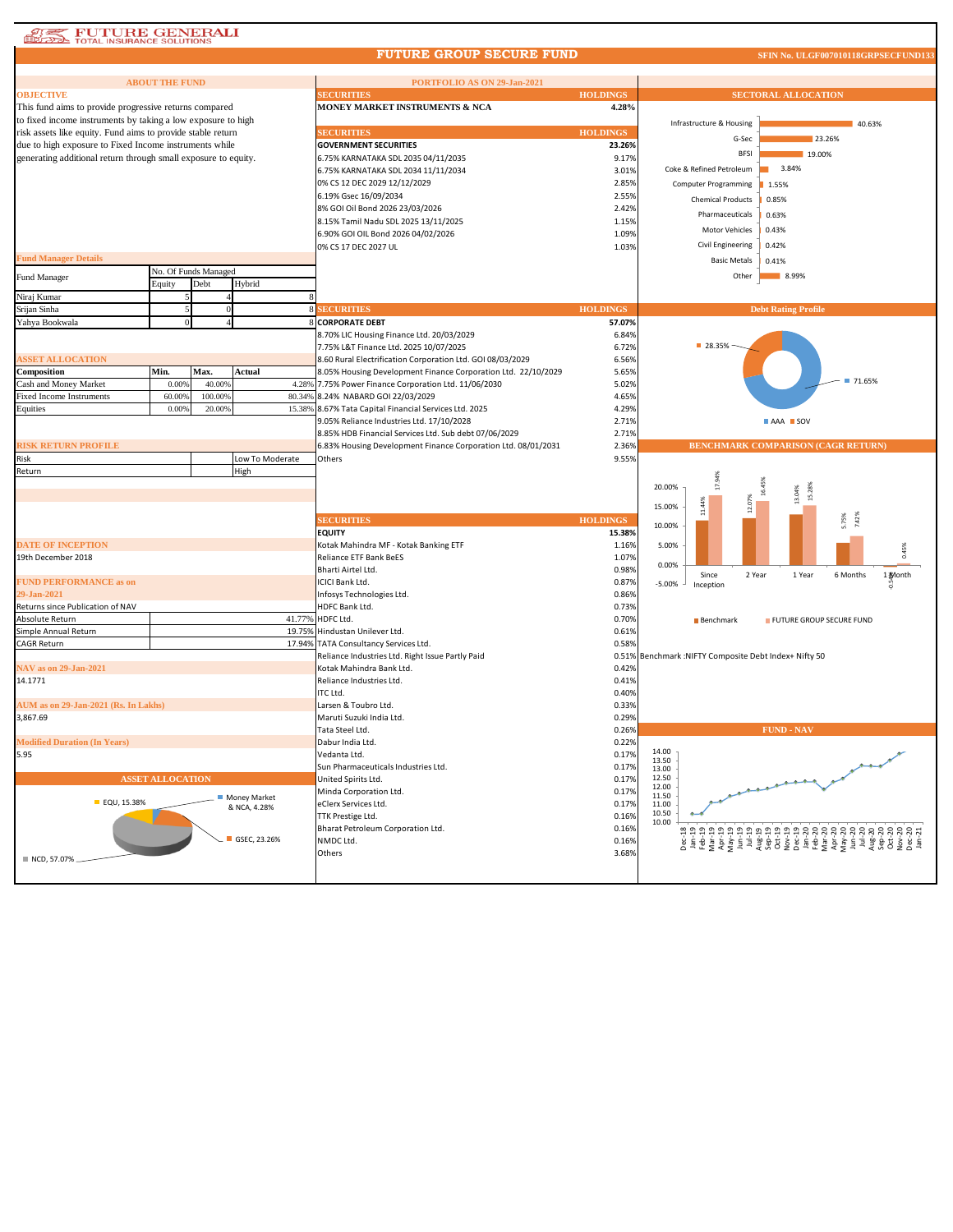| <b>FUTURE GENERALI</b><br>TOTAL INSURANCE SOLUTIONS            |                         |                              |                 |                                                                                                                        |                 |                                                        |                                                                                                                                                                                                                                                                                                                                                                                                             |  |
|----------------------------------------------------------------|-------------------------|------------------------------|-----------------|------------------------------------------------------------------------------------------------------------------------|-----------------|--------------------------------------------------------|-------------------------------------------------------------------------------------------------------------------------------------------------------------------------------------------------------------------------------------------------------------------------------------------------------------------------------------------------------------------------------------------------------------|--|
|                                                                |                         |                              |                 | <b>FUTURE GROUP SECURE FUND</b>                                                                                        |                 |                                                        | SFIN No. ULGF007010118GRPSECFUND133                                                                                                                                                                                                                                                                                                                                                                         |  |
|                                                                |                         |                              |                 |                                                                                                                        |                 |                                                        |                                                                                                                                                                                                                                                                                                                                                                                                             |  |
| <b>OBJECTIVE</b>                                               | <b>ABOUT THE FUND</b>   |                              |                 | PORTFOLIO AS ON 29-Jan-2021<br><b>SECURITIES</b><br><b>HOLDINGS</b>                                                    |                 |                                                        | <b>SECTORAL ALLOCATION</b>                                                                                                                                                                                                                                                                                                                                                                                  |  |
| This fund aims to provide progressive returns compared         |                         |                              |                 | MONEY MARKET INSTRUMENTS & NCA                                                                                         | 4.28%           |                                                        |                                                                                                                                                                                                                                                                                                                                                                                                             |  |
| to fixed income instruments by taking a low exposure to high   |                         |                              |                 |                                                                                                                        |                 |                                                        |                                                                                                                                                                                                                                                                                                                                                                                                             |  |
| risk assets like equity. Fund aims to provide stable return    |                         |                              |                 | <b>SECURITIES</b>                                                                                                      | <b>HOLDINGS</b> | Infrastructure & Housing                               | 40.63%                                                                                                                                                                                                                                                                                                                                                                                                      |  |
| due to high exposure to Fixed Income instruments while         |                         |                              |                 | <b>GOVERNMENT SECURITIES</b>                                                                                           | 23.26%          | G-Sec                                                  | 23.26%                                                                                                                                                                                                                                                                                                                                                                                                      |  |
| generating additional return through small exposure to equity. |                         |                              |                 | 6.75% KARNATAKA SDL 2035 04/11/2035                                                                                    | 9.17%           | <b>BFSI</b>                                            | 19.00%                                                                                                                                                                                                                                                                                                                                                                                                      |  |
|                                                                |                         |                              |                 | 6.75% KARNATAKA SDL 2034 11/11/2034                                                                                    | 3.01%           | Coke & Refined Petroleum                               | 3.84%                                                                                                                                                                                                                                                                                                                                                                                                       |  |
|                                                                |                         |                              |                 | 0% CS 12 DEC 2029 12/12/2029                                                                                           | 2.85%           | <b>Computer Programming</b>                            | 1.55%                                                                                                                                                                                                                                                                                                                                                                                                       |  |
|                                                                |                         |                              |                 | 6.19% Gsec 16/09/2034                                                                                                  | 2.55%           | <b>Chemical Products</b>                               | 0.85%                                                                                                                                                                                                                                                                                                                                                                                                       |  |
|                                                                |                         |                              |                 | 8% GOI Oil Bond 2026 23/03/2026                                                                                        | 2.42%           | Pharmaceuticals                                        | 0.63%                                                                                                                                                                                                                                                                                                                                                                                                       |  |
|                                                                |                         |                              |                 | 8.15% Tamil Nadu SDL 2025 13/11/2025                                                                                   | 1.15%           | Motor Vehicles                                         |                                                                                                                                                                                                                                                                                                                                                                                                             |  |
|                                                                |                         |                              |                 | 6.90% GOI OIL Bond 2026 04/02/2026                                                                                     | 1.09%           |                                                        | 0.43%                                                                                                                                                                                                                                                                                                                                                                                                       |  |
|                                                                |                         |                              |                 | 0% CS 17 DEC 2027 UL                                                                                                   | 1.03%           | Civil Engineering                                      | 0.42%                                                                                                                                                                                                                                                                                                                                                                                                       |  |
| <b>Fund Manager Details</b>                                    |                         |                              |                 |                                                                                                                        |                 | <b>Basic Metals</b>                                    | 0.41%                                                                                                                                                                                                                                                                                                                                                                                                       |  |
| Fund Manager                                                   |                         | No. Of Funds Managed<br>Debt | Hybrid          |                                                                                                                        |                 | Other                                                  | 8.99%                                                                                                                                                                                                                                                                                                                                                                                                       |  |
| Niraj Kumar                                                    | Equity                  |                              |                 |                                                                                                                        |                 |                                                        |                                                                                                                                                                                                                                                                                                                                                                                                             |  |
| Srijan Sinha                                                   |                         |                              |                 | <b>SECURITIES</b>                                                                                                      | <b>HOLDINGS</b> |                                                        | <b>Debt Rating Profile</b>                                                                                                                                                                                                                                                                                                                                                                                  |  |
| Yahya Bookwala                                                 |                         |                              |                 | <b>CORPORATE DEBT</b>                                                                                                  | 57.07%          |                                                        |                                                                                                                                                                                                                                                                                                                                                                                                             |  |
|                                                                |                         |                              |                 | 8.70% LIC Housing Finance Ltd. 20/03/2029                                                                              | 6.84%           |                                                        |                                                                                                                                                                                                                                                                                                                                                                                                             |  |
|                                                                |                         |                              |                 | 7.75% L&T Finance Ltd. 2025 10/07/2025                                                                                 | 6.72%           | ■ 28.35%                                               |                                                                                                                                                                                                                                                                                                                                                                                                             |  |
| <b>ASSET ALLOCATION</b>                                        |                         |                              |                 | 8.60 Rural Electrification Corporation Ltd. GOI 08/03/2029                                                             | 6.56%           |                                                        |                                                                                                                                                                                                                                                                                                                                                                                                             |  |
| Composition                                                    | Min.                    | Max.                         | <b>Actual</b>   | 8.05% Housing Development Finance Corporation Ltd. 22/10/2029                                                          | 5.65%           |                                                        |                                                                                                                                                                                                                                                                                                                                                                                                             |  |
| Cash and Money Market                                          | 0.009                   | 40.00%                       | 4.28%           | 7.75% Power Finance Corporation Ltd. 11/06/2030                                                                        | 5.02%           |                                                        | ■ 71.65%                                                                                                                                                                                                                                                                                                                                                                                                    |  |
| Fixed Income Instruments                                       | 60.009                  | 100.009                      | 80.34%          | 8.24% NABARD GOI 22/03/2029                                                                                            | 4.65%           |                                                        |                                                                                                                                                                                                                                                                                                                                                                                                             |  |
| Equities                                                       | 0.009                   | 20.00%                       | 15.38%          | 8.67% Tata Capital Financial Services Ltd. 2025                                                                        | 4.29%           |                                                        |                                                                                                                                                                                                                                                                                                                                                                                                             |  |
|                                                                |                         |                              |                 | 9.05% Reliance Industries Ltd. 17/10/2028                                                                              | 2.71%           |                                                        | AAA SOV                                                                                                                                                                                                                                                                                                                                                                                                     |  |
| <b>RISK RETURN PROFILE</b>                                     |                         |                              |                 | 8.85% HDB Financial Services Ltd. Sub debt 07/06/2029<br>6.83% Housing Development Finance Corporation Ltd. 08/01/2031 | 2.71%<br>2.36%  |                                                        | <b>BENCHMARK COMPARISON (CAGR RETURN)</b>                                                                                                                                                                                                                                                                                                                                                                   |  |
| Risk                                                           |                         |                              | Low To Moderate | Others                                                                                                                 | 9.55%           |                                                        |                                                                                                                                                                                                                                                                                                                                                                                                             |  |
| Return                                                         |                         |                              | High            |                                                                                                                        |                 |                                                        |                                                                                                                                                                                                                                                                                                                                                                                                             |  |
|                                                                |                         |                              |                 |                                                                                                                        |                 | 17.94%<br>20.00%                                       | 16.45%                                                                                                                                                                                                                                                                                                                                                                                                      |  |
|                                                                |                         |                              |                 |                                                                                                                        |                 |                                                        | 15.28%<br>13.04%                                                                                                                                                                                                                                                                                                                                                                                            |  |
|                                                                |                         |                              |                 |                                                                                                                        |                 | 11,44%<br>15.00%                                       |                                                                                                                                                                                                                                                                                                                                                                                                             |  |
|                                                                |                         |                              |                 | <b>SECURITIES</b>                                                                                                      | <b>HOLDINGS</b> | 10.00%                                                 | 5.75%<br>7.42%                                                                                                                                                                                                                                                                                                                                                                                              |  |
|                                                                |                         |                              |                 | <b>EQUITY</b>                                                                                                          | 15.38%          |                                                        |                                                                                                                                                                                                                                                                                                                                                                                                             |  |
| <b>DATE OF INCEPTION</b><br>19th December 2018                 |                         |                              |                 | Kotak Mahindra MF - Kotak Banking ETF<br>Reliance ETF Bank BeES                                                        | 1.16%<br>1.07%  | 5.00%                                                  | 0.45%                                                                                                                                                                                                                                                                                                                                                                                                       |  |
|                                                                |                         |                              |                 | Bharti Airtel Ltd.                                                                                                     | 0.98%           | 0.00%                                                  |                                                                                                                                                                                                                                                                                                                                                                                                             |  |
| <b>FUND PERFORMANCE as on</b>                                  |                         |                              |                 | <b>ICICI Bank Ltd.</b>                                                                                                 | 0.87%           | Since<br>2 Year<br>$-5.00%$                            | 1 Year<br>6 Months<br>1 Month                                                                                                                                                                                                                                                                                                                                                                               |  |
| 29-Jan-2021                                                    |                         |                              |                 | Infosys Technologies Ltd.                                                                                              | 0.86%           | Inception                                              |                                                                                                                                                                                                                                                                                                                                                                                                             |  |
| Returns since Publication of NAV                               |                         |                              |                 | HDFC Bank Ltd.                                                                                                         | 0.73%           |                                                        |                                                                                                                                                                                                                                                                                                                                                                                                             |  |
| Absolute Return                                                |                         |                              | 41.77%          | HDFC Ltd.                                                                                                              | 0.70%           | <b>Benchmark</b>                                       | FUTURE GROUP SECURE FUND                                                                                                                                                                                                                                                                                                                                                                                    |  |
| Simple Annual Return                                           |                         |                              | 19.75%          | Hindustan Unilever Ltd.                                                                                                | 0.61%           |                                                        |                                                                                                                                                                                                                                                                                                                                                                                                             |  |
| <b>CAGR Return</b>                                             |                         |                              | 17.94%          | TATA Consultancy Services Ltd.                                                                                         | 0.58%           |                                                        |                                                                                                                                                                                                                                                                                                                                                                                                             |  |
| NAV as on 29-Jan-2021                                          |                         |                              |                 | Reliance Industries Ltd. Right Issue Partly Paid<br>Kotak Mahindra Bank Ltd.                                           | 0.42%           | 0.51% Benchmark : NIFTY Composite Debt Index+ Nifty 50 |                                                                                                                                                                                                                                                                                                                                                                                                             |  |
| 14.1771                                                        |                         |                              |                 | Reliance Industries Ltd.                                                                                               | 0.41%           |                                                        |                                                                                                                                                                                                                                                                                                                                                                                                             |  |
|                                                                |                         |                              |                 | ITC Ltd.                                                                                                               | 0.40%           |                                                        |                                                                                                                                                                                                                                                                                                                                                                                                             |  |
| AUM as on 29-Jan-2021 (Rs. In Lakhs)                           |                         |                              |                 | Larsen & Toubro Ltd.                                                                                                   | 0.33%           |                                                        |                                                                                                                                                                                                                                                                                                                                                                                                             |  |
| 3,867.69                                                       |                         |                              |                 | Maruti Suzuki India Ltd.                                                                                               | 0.29%           |                                                        |                                                                                                                                                                                                                                                                                                                                                                                                             |  |
|                                                                |                         |                              |                 | Tata Steel Ltd.                                                                                                        | 0.26%           |                                                        | FUND - NAV                                                                                                                                                                                                                                                                                                                                                                                                  |  |
| <b>Modified Duration (In Years)</b>                            |                         |                              |                 | Dabur India Ltd.                                                                                                       | 0.22%           |                                                        |                                                                                                                                                                                                                                                                                                                                                                                                             |  |
| 5.95                                                           |                         |                              |                 | Vedanta Ltd.                                                                                                           | 0.17%           | 14.00<br>13.50                                         |                                                                                                                                                                                                                                                                                                                                                                                                             |  |
|                                                                |                         |                              |                 | Sun Pharmaceuticals Industries Ltd.                                                                                    | 0.17%           | 13.00                                                  |                                                                                                                                                                                                                                                                                                                                                                                                             |  |
|                                                                | <b>ASSET ALLOCATION</b> |                              |                 | United Spirits Ltd.                                                                                                    | 0.17%           | 12.50<br>12.00                                         |                                                                                                                                                                                                                                                                                                                                                                                                             |  |
| <b>EQU, 15.38%</b>                                             |                         |                              | Money Market    | Minda Corporation Ltd.<br>eClerx Services Ltd.                                                                         | 0.17%<br>0.17%  | 11.50                                                  |                                                                                                                                                                                                                                                                                                                                                                                                             |  |
|                                                                |                         |                              | & NCA, 4.28%    | TTK Prestige Ltd.                                                                                                      | 0.16%           | 11.00<br>10.50                                         |                                                                                                                                                                                                                                                                                                                                                                                                             |  |
|                                                                |                         |                              |                 | Bharat Petroleum Corporation Ltd.                                                                                      | 0.16%           | 10.00                                                  |                                                                                                                                                                                                                                                                                                                                                                                                             |  |
|                                                                |                         |                              | GSEC, 23.26%    | NMDC Ltd.                                                                                                              | 0.16%           |                                                        | $\begin{array}{l} \mathsf{B} \in \mathbb{R}^3\\ \mathsf{B} \in \mathbb{R}^3\\ \mathsf{B} \in \mathbb{R}^3\\ \mathsf{B} \in \mathbb{R}^3\\ \mathsf{C} \in \mathbb{R}^3\\ \mathsf{D} \in \mathbb{R}^3\\ \mathsf{D} \in \mathbb{R}^3\\ \mathsf{D} \in \mathbb{R}^3\\ \mathsf{D} \in \mathbb{R}^3\\ \mathsf{D} \in \mathbb{R}^3\\ \mathsf{D} \in \mathbb{R}^3\\ \mathsf{D} \in \mathbb{R}^3\\ \mathsf{D} \in \$ |  |
|                                                                |                         |                              |                 | Others                                                                                                                 | 3.68%           |                                                        |                                                                                                                                                                                                                                                                                                                                                                                                             |  |
| ■ NCD, 57.07%                                                  |                         |                              |                 |                                                                                                                        |                 |                                                        |                                                                                                                                                                                                                                                                                                                                                                                                             |  |
|                                                                |                         |                              |                 |                                                                                                                        |                 |                                                        |                                                                                                                                                                                                                                                                                                                                                                                                             |  |